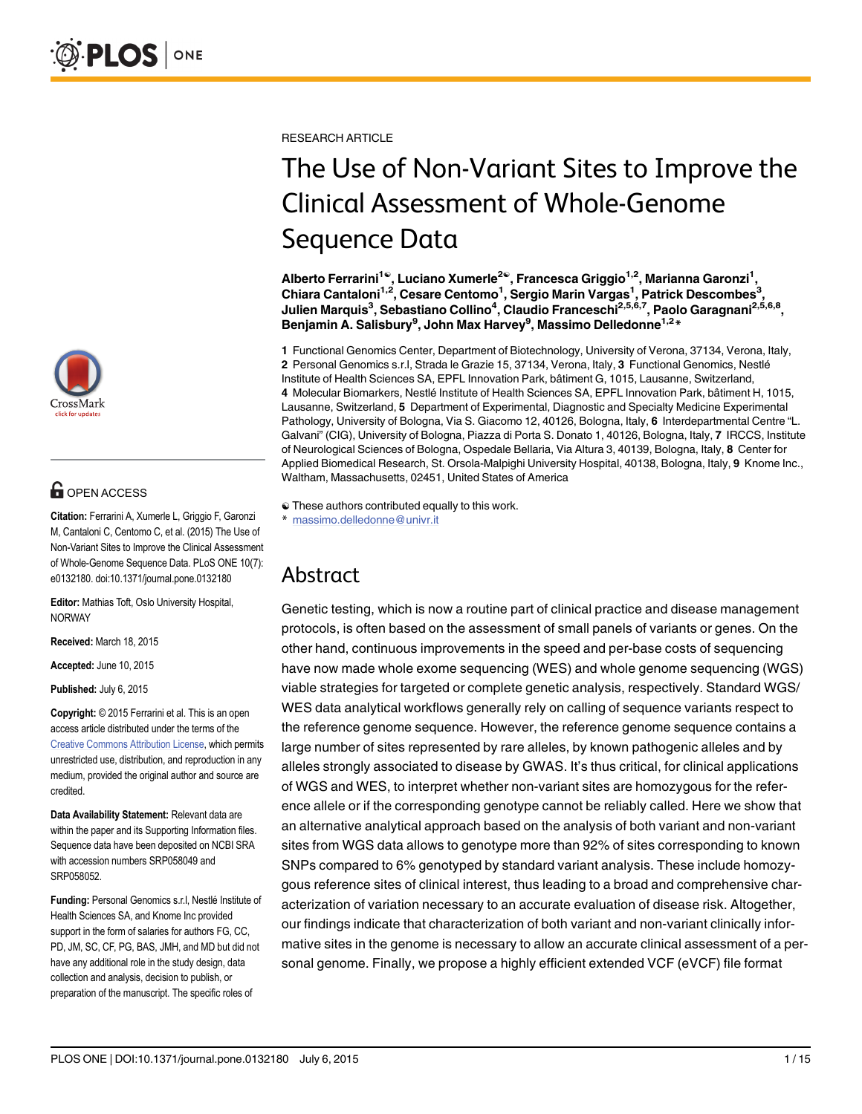

# **OPEN ACCESS**

Citation: Ferrarini A, Xumerle L, Griggio F, Garonzi M, Cantaloni C, Centomo C, et al. (2015) The Use of Non-Variant Sites to Improve the Clinical Assessment of Whole-Genome Sequence Data. PLoS ONE 10(7): e0132180. doi:10.1371/journal.pone.0132180

Editor: Mathias Toft, Oslo University Hospital, NORWAY

Received: March 18, 2015

Accepted: June 10, 2015

Published: July 6, 2015

Copyright: © 2015 Ferrarini et al. This is an open access article distributed under the terms of the [Creative Commons Attribution License,](http://creativecommons.org/licenses/by/4.0/) which permits unrestricted use, distribution, and reproduction in any medium, provided the original author and source are credited.

Data Availability Statement: Relevant data are within the paper and its Supporting Information files. Sequence data have been deposited on NCBI SRA with accession numbers SRP058049 and SRP058052.

Funding: Personal Genomics s.r.l, Nestlé Institute of Health Sciences SA, and Knome Inc provided support in the form of salaries for authors FG, CC, PD, JM, SC, CF, PG, BAS, JMH, and MD but did not have any additional role in the study design, data collection and analysis, decision to publish, or preparation of the manuscript. The specific roles of

RESEARCH ARTICLE

# The Use of Non-Variant Sites to Improve the Clinical Assessment of Whole-Genome Sequence Data

Alberto Ferrarini<sup>1©</sup>, Luciano Xumerle<sup>2©</sup>, Francesca Griggio<sup>1,2</sup>, Marianna Garonzi<sup>1</sup>, Chiara Cantaloni<sup>1,2</sup>, Cesare Centomo<sup>1</sup>, Sergio Marin Vargas<sup>1</sup>, Patrick Descombes<sup>3</sup>, Julien Marquis<sup>3</sup>, Sebastiano Collino<sup>4</sup>, Claudio Franceschi<sup>2,5,6,7</sup>, Paolo Garagnani<sup>2,5,6,8</sup>, Benjamin A. Salisbury<sup>9</sup>, John Max Harvey<sup>9</sup>, Massimo Delledonne<sup>1,2</sup>\*

1 Functional Genomics Center, Department of Biotechnology, University of Verona, 37134, Verona, Italy, 2 Personal Genomics s.r.l, Strada le Grazie 15, 37134, Verona, Italy, 3 Functional Genomics, Nestlé Institute of Health Sciences SA, EPFL Innovation Park, bâtiment G, 1015, Lausanne, Switzerland, 4 Molecular Biomarkers, Nestlé Institute of Health Sciences SA, EPFL Innovation Park, bâtiment H, 1015, Lausanne, Switzerland, 5 Department of Experimental, Diagnostic and Specialty Medicine Experimental Pathology, University of Bologna, Via S. Giacomo 12, 40126, Bologna, Italy, 6 Interdepartmental Centre "L. Galvani" (CIG), University of Bologna, Piazza di Porta S. Donato 1, 40126, Bologna, Italy, 7 IRCCS, Institute of Neurological Sciences of Bologna, Ospedale Bellaria, Via Altura 3, 40139, Bologna, Italy, 8 Center for Applied Biomedical Research, St. Orsola-Malpighi University Hospital, 40138, Bologna, Italy, 9 Knome Inc., Waltham, Massachusetts, 02451, United States of America

# Abstract

Genetic testing, which is now a routine part of clinical practice and disease management protocols, is often based on the assessment of small panels of variants or genes. On the other hand, continuous improvements in the speed and per-base costs of sequencing have now made whole exome sequencing (WES) and whole genome sequencing (WGS) viable strategies for targeted or complete genetic analysis, respectively. Standard WGS/ WES data analytical workflows generally rely on calling of sequence variants respect to the reference genome sequence. However, the reference genome sequence contains a large number of sites represented by rare alleles, by known pathogenic alleles and by alleles strongly associated to disease by GWAS. It's thus critical, for clinical applications of WGS and WES, to interpret whether non-variant sites are homozygous for the reference allele or if the corresponding genotype cannot be reliably called. Here we show that an alternative analytical approach based on the analysis of both variant and non-variant sites from WGS data allows to genotype more than 92% of sites corresponding to known SNPs compared to 6% genotyped by standard variant analysis. These include homozygous reference sites of clinical interest, thus leading to a broad and comprehensive characterization of variation necessary to an accurate evaluation of disease risk. Altogether, our findings indicate that characterization of both variant and non-variant clinically informative sites in the genome is necessary to allow an accurate clinical assessment of a personal genome. Finally, we propose a highly efficient extended VCF (eVCF) file format

<sup>☯</sup> These authors contributed equally to this work.

massimo.delledonne@univr.it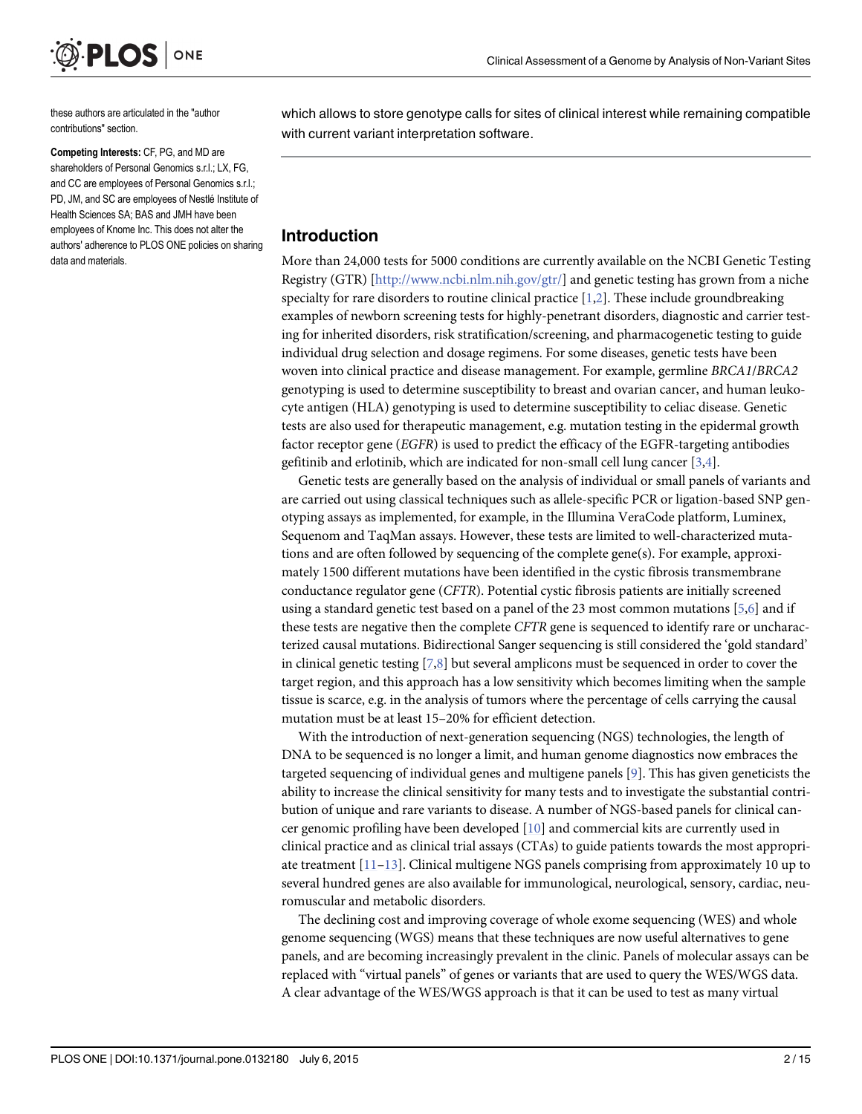<span id="page-1-0"></span>

these authors are articulated in the "author contributions" section.

Competing Interests: CF, PG, and MD are shareholders of Personal Genomics s.r.l.; LX, FG, and CC are employees of Personal Genomics s.r.l.; PD, JM, and SC are employees of Nestlé Institute of Health Sciences SA; BAS and JMH have been employees of Knome Inc. This does not alter the authors' adherence to PLOS ONE policies on sharing data and materials.

which allows to store genotype calls for sites of clinical interest while remaining compatible with current variant interpretation software.

#### Introduction

More than 24,000 tests for 5000 conditions are currently available on the NCBI Genetic Testing Registry (GTR) [<http://www.ncbi.nlm.nih.gov/gtr/>] and genetic testing has grown from a niche specialty for rare disorders to routine clinical practice  $[1,2]$  $[1,2]$ . These include groundbreaking examples of newborn screening tests for highly-penetrant disorders, diagnostic and carrier testing for inherited disorders, risk stratification/screening, and pharmacogenetic testing to guide individual drug selection and dosage regimens. For some diseases, genetic tests have been woven into clinical practice and disease management. For example, germline BRCA1/BRCA2 genotyping is used to determine susceptibility to breast and ovarian cancer, and human leukocyte antigen (HLA) genotyping is used to determine susceptibility to celiac disease. Genetic tests are also used for therapeutic management, e.g. mutation testing in the epidermal growth factor receptor gene (EGFR) is used to predict the efficacy of the EGFR-targeting antibodies gefitinib and erlotinib, which are indicated for non-small cell lung cancer [\[3,4\]](#page-11-0).

Genetic tests are generally based on the analysis of individual or small panels of variants and are carried out using classical techniques such as allele-specific PCR or ligation-based SNP genotyping assays as implemented, for example, in the Illumina VeraCode platform, Luminex, Sequenom and TaqMan assays. However, these tests are limited to well-characterized mutations and are often followed by sequencing of the complete gene(s). For example, approximately 1500 different mutations have been identified in the cystic fibrosis transmembrane conductance regulator gene (CFTR). Potential cystic fibrosis patients are initially screened using a standard genetic test based on a panel of the 23 most common mutations  $[5,6]$  $[5,6]$  $[5,6]$  and if these tests are negative then the complete CFTR gene is sequenced to identify rare or uncharacterized causal mutations. Bidirectional Sanger sequencing is still considered the 'gold standard' in clinical genetic testing  $[7,8]$  $[7,8]$  but several amplicons must be sequenced in order to cover the target region, and this approach has a low sensitivity which becomes limiting when the sample tissue is scarce, e.g. in the analysis of tumors where the percentage of cells carrying the causal mutation must be at least 15–20% for efficient detection.

With the introduction of next-generation sequencing (NGS) technologies, the length of DNA to be sequenced is no longer a limit, and human genome diagnostics now embraces the targeted sequencing of individual genes and multigene panels [\[9](#page-12-0)]. This has given geneticists the ability to increase the clinical sensitivity for many tests and to investigate the substantial contribution of unique and rare variants to disease. A number of NGS-based panels for clinical cancer genomic profiling have been developed  $[10]$  $[10]$  $[10]$  and commercial kits are currently used in clinical practice and as clinical trial assays (CTAs) to guide patients towards the most appropriate treatment [\[11](#page-12-0)–[13\]](#page-12-0). Clinical multigene NGS panels comprising from approximately 10 up to several hundred genes are also available for immunological, neurological, sensory, cardiac, neuromuscular and metabolic disorders.

The declining cost and improving coverage of whole exome sequencing (WES) and whole genome sequencing (WGS) means that these techniques are now useful alternatives to gene panels, and are becoming increasingly prevalent in the clinic. Panels of molecular assays can be replaced with "virtual panels" of genes or variants that are used to query the WES/WGS data. A clear advantage of the WES/WGS approach is that it can be used to test as many virtual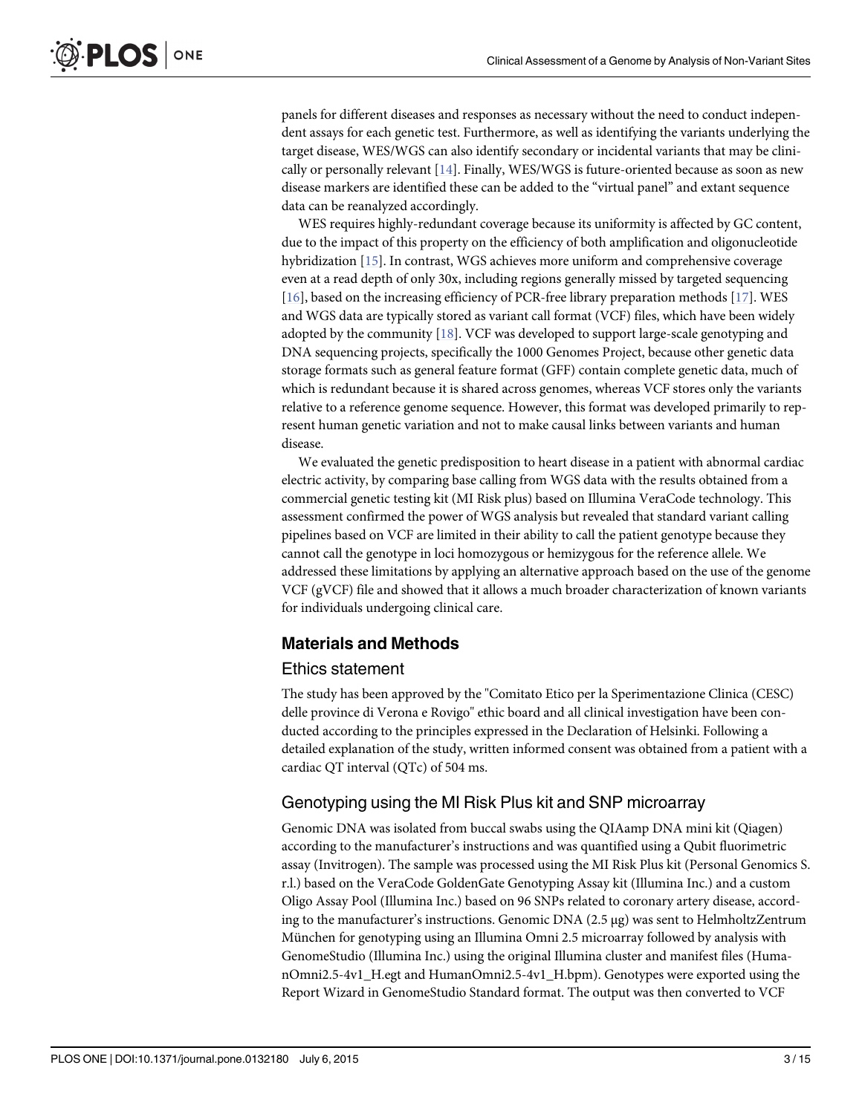<span id="page-2-0"></span>panels for different diseases and responses as necessary without the need to conduct independent assays for each genetic test. Furthermore, as well as identifying the variants underlying the target disease, WES/WGS can also identify secondary or incidental variants that may be clinically or personally relevant  $[14]$ . Finally, WES/WGS is future-oriented because as soon as new disease markers are identified these can be added to the "virtual panel" and extant sequence data can be reanalyzed accordingly.

WES requires highly-redundant coverage because its uniformity is affected by GC content, due to the impact of this property on the efficiency of both amplification and oligonucleotide hybridization [\[15\]](#page-12-0). In contrast, WGS achieves more uniform and comprehensive coverage even at a read depth of only 30x, including regions generally missed by targeted sequencing [\[16](#page-12-0)], based on the increasing efficiency of PCR-free library preparation methods [\[17](#page-12-0)]. WES and WGS data are typically stored as variant call format (VCF) files, which have been widely adopted by the community [[18](#page-12-0)]. VCF was developed to support large-scale genotyping and DNA sequencing projects, specifically the 1000 Genomes Project, because other genetic data storage formats such as general feature format (GFF) contain complete genetic data, much of which is redundant because it is shared across genomes, whereas VCF stores only the variants relative to a reference genome sequence. However, this format was developed primarily to represent human genetic variation and not to make causal links between variants and human disease.

We evaluated the genetic predisposition to heart disease in a patient with abnormal cardiac electric activity, by comparing base calling from WGS data with the results obtained from a commercial genetic testing kit (MI Risk plus) based on Illumina VeraCode technology. This assessment confirmed the power of WGS analysis but revealed that standard variant calling pipelines based on VCF are limited in their ability to call the patient genotype because they cannot call the genotype in loci homozygous or hemizygous for the reference allele. We addressed these limitations by applying an alternative approach based on the use of the genome VCF (gVCF) file and showed that it allows a much broader characterization of known variants for individuals undergoing clinical care.

# Materials and Methods

#### Ethics statement

The study has been approved by the "Comitato Etico per la Sperimentazione Clinica (CESC) delle province di Verona e Rovigo" ethic board and all clinical investigation have been conducted according to the principles expressed in the Declaration of Helsinki. Following a detailed explanation of the study, written informed consent was obtained from a patient with a cardiac QT interval (QTc) of 504 ms.

# Genotyping using the MI Risk Plus kit and SNP microarray

Genomic DNA was isolated from buccal swabs using the QIAamp DNA mini kit (Qiagen) according to the manufacturer's instructions and was quantified using a Qubit fluorimetric assay (Invitrogen). The sample was processed using the MI Risk Plus kit (Personal Genomics S. r.l.) based on the VeraCode GoldenGate Genotyping Assay kit (Illumina Inc.) and a custom Oligo Assay Pool (Illumina Inc.) based on 96 SNPs related to coronary artery disease, according to the manufacturer's instructions. Genomic DNA (2.5 μg) was sent to HelmholtzZentrum München for genotyping using an Illumina Omni 2.5 microarray followed by analysis with GenomeStudio (Illumina Inc.) using the original Illumina cluster and manifest files (HumanOmni2.5-4v1\_H.egt and HumanOmni2.5-4v1\_H.bpm). Genotypes were exported using the Report Wizard in GenomeStudio Standard format. The output was then converted to VCF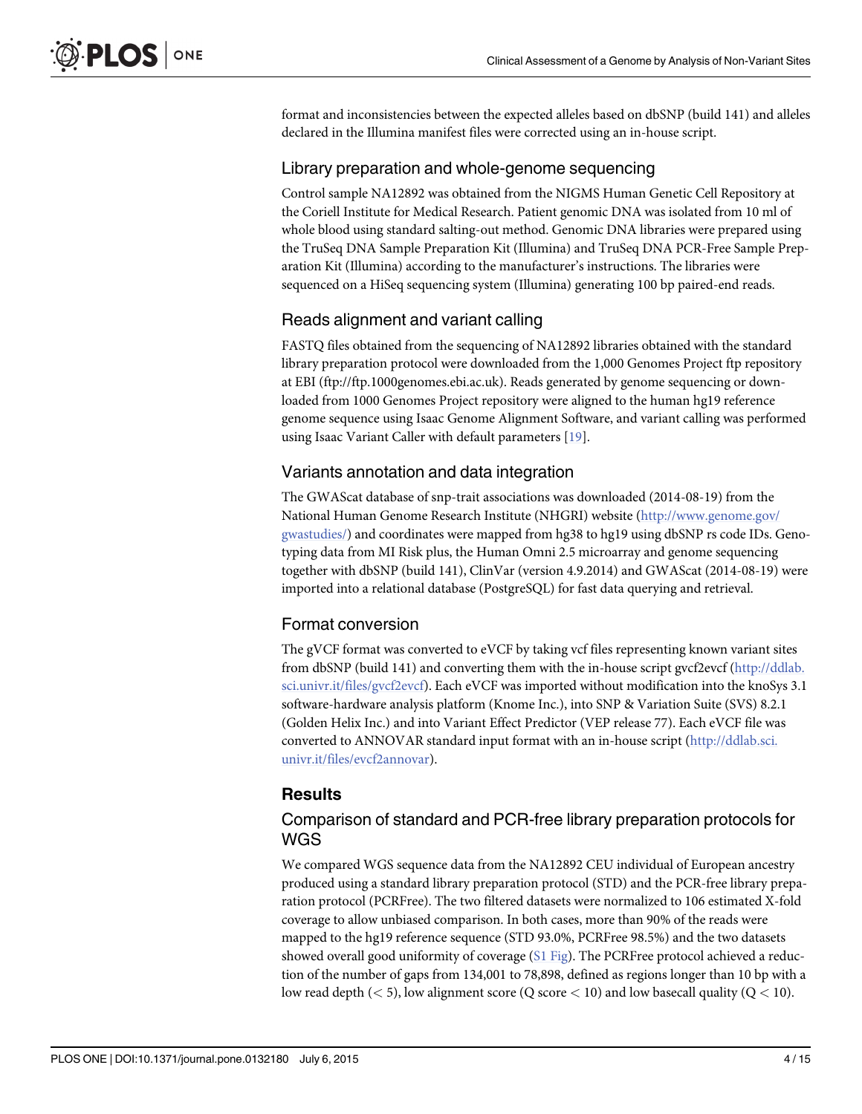<span id="page-3-0"></span>format and inconsistencies between the expected alleles based on dbSNP (build 141) and alleles declared in the Illumina manifest files were corrected using an in-house script.

#### Library preparation and whole-genome sequencing

Control sample NA12892 was obtained from the NIGMS Human Genetic Cell Repository at the Coriell Institute for Medical Research. Patient genomic DNA was isolated from 10 ml of whole blood using standard salting-out method. Genomic DNA libraries were prepared using the TruSeq DNA Sample Preparation Kit (Illumina) and TruSeq DNA PCR-Free Sample Preparation Kit (Illumina) according to the manufacturer's instructions. The libraries were sequenced on a HiSeq sequencing system (Illumina) generating 100 bp paired-end reads.

# Reads alignment and variant calling

FASTQ files obtained from the sequencing of NA12892 libraries obtained with the standard library preparation protocol were downloaded from the 1,000 Genomes Project ftp repository at EBI (ftp://ftp.1000genomes.ebi.ac.uk). Reads generated by genome sequencing or downloaded from 1000 Genomes Project repository were aligned to the human hg19 reference genome sequence using Isaac Genome Alignment Software, and variant calling was performed using Isaac Variant Caller with default parameters [\[19\]](#page-12-0).

# Variants annotation and data integration

The GWAScat database of snp-trait associations was downloaded (2014-08-19) from the National Human Genome Research Institute (NHGRI) website [\(http://www.genome.gov/](http://www.genome.gov/gwastudies/) [gwastudies/\)](http://www.genome.gov/gwastudies/) and coordinates were mapped from hg38 to hg19 using dbSNP rs code IDs. Genotyping data from MI Risk plus, the Human Omni 2.5 microarray and genome sequencing together with dbSNP (build 141), ClinVar (version 4.9.2014) and GWAScat (2014-08-19) were imported into a relational database (PostgreSQL) for fast data querying and retrieval.

# Format conversion

The gVCF format was converted to eVCF by taking vcf files representing known variant sites from dbSNP (build 141) and converting them with the in-house script gvcf2evcf [\(http://ddlab.](http://ddlab.sci.univr.it/files/gvcf2evcf) [sci.univr.it/files/gvcf2evcf](http://ddlab.sci.univr.it/files/gvcf2evcf)). Each eVCF was imported without modification into the knoSys 3.1 software-hardware analysis platform (Knome Inc.), into SNP & Variation Suite (SVS) 8.2.1 (Golden Helix Inc.) and into Variant Effect Predictor (VEP release 77). Each eVCF file was converted to ANNOVAR standard input format with an in-house script [\(http://ddlab.sci.](http://ddlab.sci.univr.it/files/evcf2annovar) [univr.it/files/evcf2annovar](http://ddlab.sci.univr.it/files/evcf2annovar)).

# Results

#### Comparison of standard and PCR-free library preparation protocols for WGS

We compared WGS sequence data from the NA12892 CEU individual of European ancestry produced using a standard library preparation protocol (STD) and the PCR-free library preparation protocol (PCRFree). The two filtered datasets were normalized to 106 estimated X-fold coverage to allow unbiased comparison. In both cases, more than 90% of the reads were mapped to the hg19 reference sequence (STD 93.0%, PCRFree 98.5%) and the two datasets showed overall good uniformity of coverage  $(S1$  Fig). The PCRFree protocol achieved a reduction of the number of gaps from 134,001 to 78,898, defined as regions longer than 10 bp with a low read depth ( $\lt$  5), low alignment score (Q score  $\lt$  10) and low basecall quality (Q  $\lt$  10).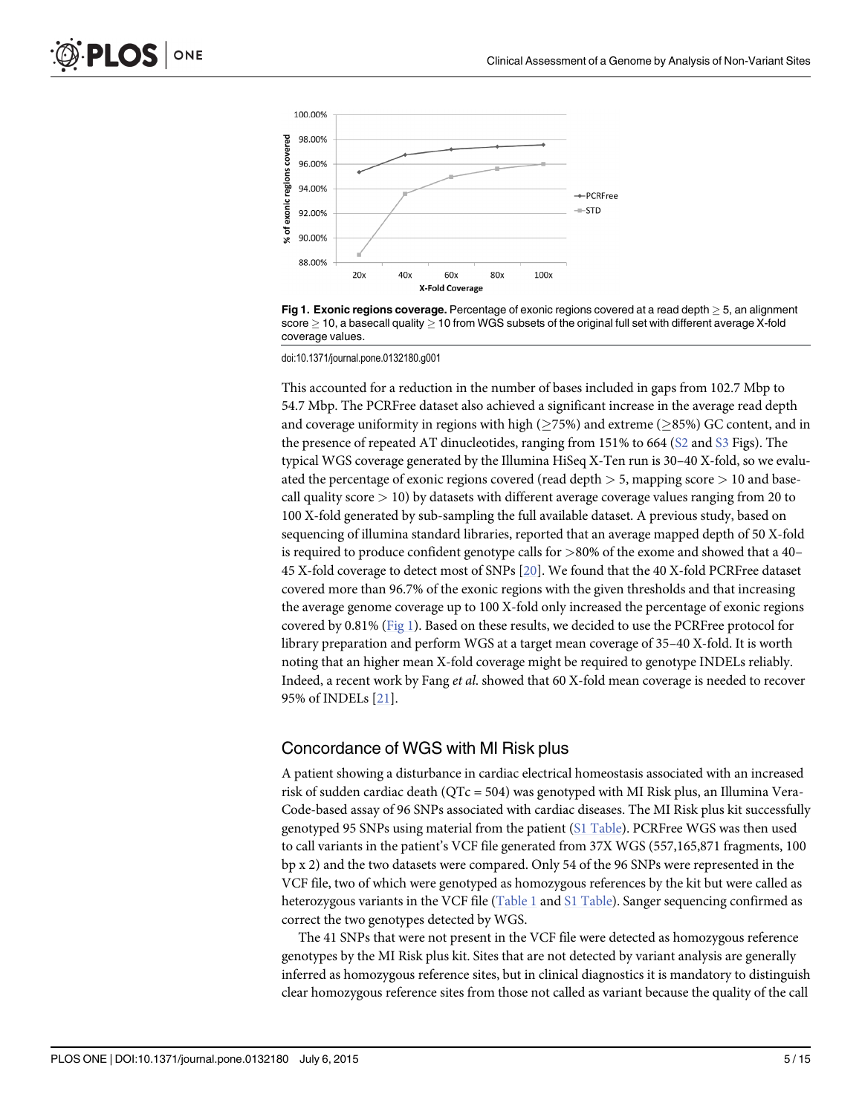<span id="page-4-0"></span>



doi:10.1371/journal.pone.0132180.g001

This accounted for a reduction in the number of bases included in gaps from 102.7 Mbp to 54.7 Mbp. The PCRFree dataset also achieved a significant increase in the average read depth and coverage uniformity in regions with high ( $\geq$ 75%) and extreme ( $\geq$ 85%) GC content, and in the presence of repeated AT dinucleotides, ranging from 151% to 664 ([S2](#page-10-0) and [S3](#page-10-0) Figs). The typical WGS coverage generated by the Illumina HiSeq X-Ten run is 30–40 X-fold, so we evaluated the percentage of exonic regions covered (read depth > 5, mapping score > 10 and basecall quality score  $> 10$ ) by datasets with different average coverage values ranging from 20 to 100 X-fold generated by sub-sampling the full available dataset. A previous study, based on sequencing of illumina standard libraries, reported that an average mapped depth of 50 X-fold is required to produce confident genotype calls for >80% of the exome and showed that a 40– 45 X-fold coverage to detect most of SNPs [[20](#page-12-0)]. We found that the 40 X-fold PCRFree dataset covered more than 96.7% of the exonic regions with the given thresholds and that increasing the average genome coverage up to 100 X-fold only increased the percentage of exonic regions covered by 0.81% (Fig 1). Based on these results, we decided to use the PCRFree protocol for library preparation and perform WGS at a target mean coverage of 35–40 X-fold. It is worth noting that an higher mean X-fold coverage might be required to genotype INDELs reliably. Indeed, a recent work by Fang et al. showed that 60 X-fold mean coverage is needed to recover 95% of INDELs [[21](#page-12-0)].

#### Concordance of WGS with MI Risk plus

A patient showing a disturbance in cardiac electrical homeostasis associated with an increased risk of sudden cardiac death (QTc = 504) was genotyped with MI Risk plus, an Illumina Vera-Code-based assay of 96 SNPs associated with cardiac diseases. The MI Risk plus kit successfully genotyped 95 SNPs using material from the patient ([S1 Table\)](#page-11-0). PCRFree WGS was then used to call variants in the patient's VCF file generated from 37X WGS (557,165,871 fragments, 100 bp x 2) and the two datasets were compared. Only 54 of the 96 SNPs were represented in the VCF file, two of which were genotyped as homozygous references by the kit but were called as heterozygous variants in the VCF file [\(Table 1](#page-5-0) and [S1 Table\)](#page-11-0). Sanger sequencing confirmed as correct the two genotypes detected by WGS.

The 41 SNPs that were not present in the VCF file were detected as homozygous reference genotypes by the MI Risk plus kit. Sites that are not detected by variant analysis are generally inferred as homozygous reference sites, but in clinical diagnostics it is mandatory to distinguish clear homozygous reference sites from those not called as variant because the quality of the call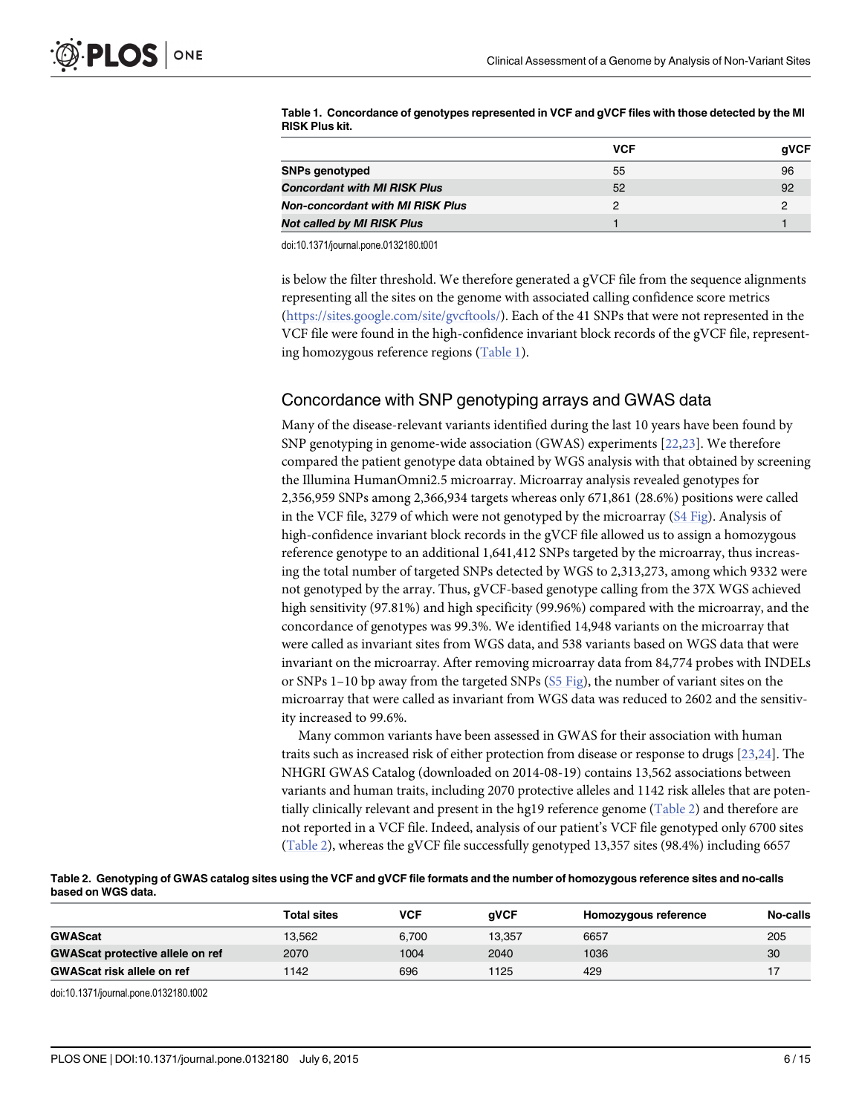|                                         | <b>VCF</b> | aVCF |
|-----------------------------------------|------------|------|
| <b>SNPs genotyped</b>                   | 55         | 96   |
| <b>Concordant with MI RISK Plus</b>     | 52         | 92   |
| <b>Non-concordant with MI RISK Plus</b> | כי         |      |
| <b>Not called by MI RISK Plus</b>       |            |      |

<span id="page-5-0"></span>[Table 1.](#page-4-0) Concordance of genotypes represented in VCF and gVCF files with those detected by the MI RISK Plus kit.

doi:10.1371/journal.pone.0132180.t001

is below the filter threshold. We therefore generated a gVCF file from the sequence alignments representing all the sites on the genome with associated calling confidence score metrics [\(https://sites.google.com/site/gvcftools/\)](https://sites.google.com/site/gvcftools/). Each of the 41 SNPs that were not represented in the VCF file were found in the high-confidence invariant block records of the gVCF file, representing homozygous reference regions (Table 1).

#### Concordance with SNP genotyping arrays and GWAS data

Many of the disease-relevant variants identified during the last 10 years have been found by SNP genotyping in genome-wide association (GWAS) experiments [[22](#page-12-0),[23](#page-12-0)]. We therefore compared the patient genotype data obtained by WGS analysis with that obtained by screening the Illumina HumanOmni2.5 microarray. Microarray analysis revealed genotypes for 2,356,959 SNPs among 2,366,934 targets whereas only 671,861 (28.6%) positions were called in the VCF file, 3279 of which were not genotyped by the microarray  $(S4 \text{ Fig})$ . Analysis of high-confidence invariant block records in the gVCF file allowed us to assign a homozygous reference genotype to an additional 1,641,412 SNPs targeted by the microarray, thus increasing the total number of targeted SNPs detected by WGS to 2,313,273, among which 9332 were not genotyped by the array. Thus, gVCF-based genotype calling from the 37X WGS achieved high sensitivity (97.81%) and high specificity (99.96%) compared with the microarray, and the concordance of genotypes was 99.3%. We identified 14,948 variants on the microarray that were called as invariant sites from WGS data, and 538 variants based on WGS data that were invariant on the microarray. After removing microarray data from 84,774 probes with INDELs or SNPs 1–10 bp away from the targeted SNPs  $(S5 Fig)$  $(S5 Fig)$  $(S5 Fig)$ , the number of variant sites on the microarray that were called as invariant from WGS data was reduced to 2602 and the sensitivity increased to 99.6%.

Many common variants have been assessed in GWAS for their association with human traits such as increased risk of either protection from disease or response to drugs [[23](#page-12-0),[24](#page-12-0)]. The NHGRI GWAS Catalog (downloaded on 2014-08-19) contains 13,562 associations between variants and human traits, including 2070 protective alleles and 1142 risk alleles that are potentially clinically relevant and present in the hg19 reference genome (Table 2) and therefore are not reported in a VCF file. Indeed, analysis of our patient's VCF file genotyped only 6700 sites (Table 2), whereas the gVCF file successfully genotyped 13,357 sites (98.4%) including 6657

| Table 2. Genotyping of GWAS catalog sites using the VCF and gVCF file formats and the number of homozygous reference sites and no-calls |
|-----------------------------------------------------------------------------------------------------------------------------------------|
| based on WGS data.                                                                                                                      |

|                                         | <b>Total sites</b> | VCF   | aVCF   | Homozygous reference | No-calls |
|-----------------------------------------|--------------------|-------|--------|----------------------|----------|
| <b>GWAScat</b>                          | 13.562             | 6.700 | 13.357 | 6657                 | 205      |
| <b>GWAScat protective allele on ref</b> | 2070               | 1004  | 2040   | 1036                 | 30       |
| <b>GWAScat risk allele on ref</b>       | 1142               | 696   | 1125   | 429                  |          |

doi:10.1371/journal.pone.0132180.t002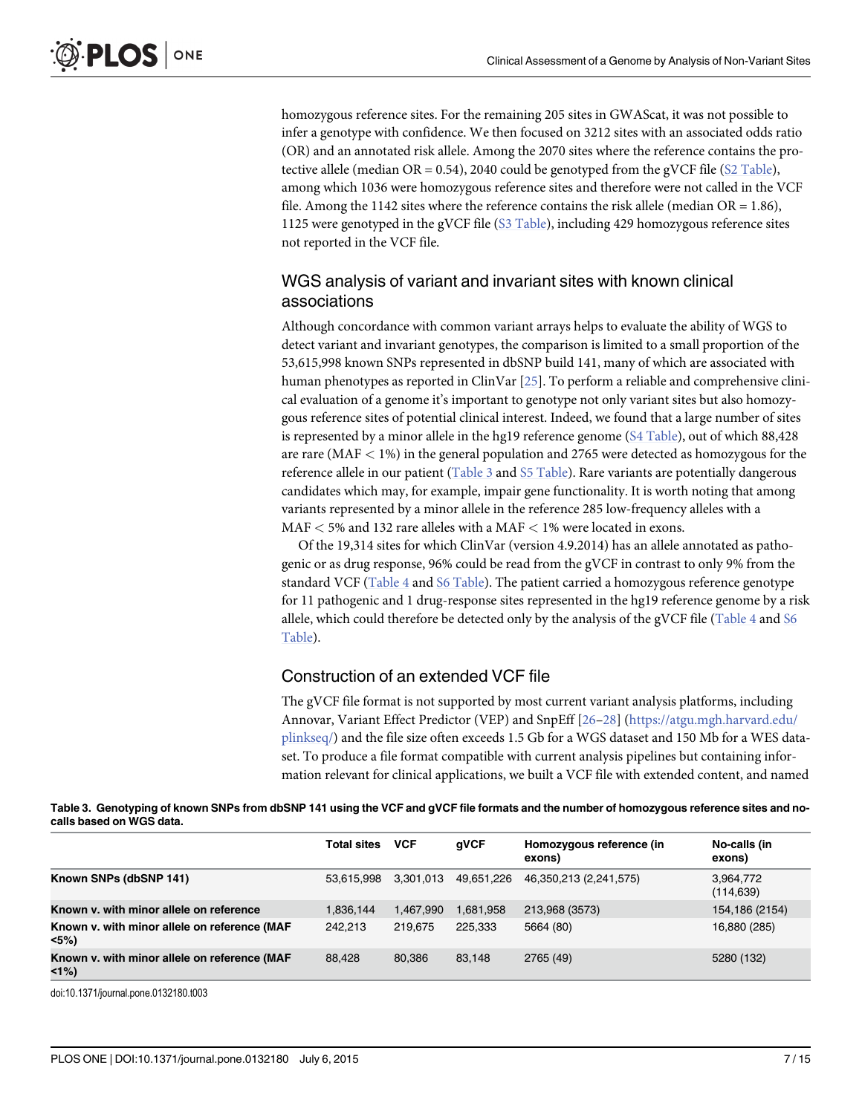<span id="page-6-0"></span>homozygous reference sites. For the remaining 205 sites in GWAScat, it was not possible to infer a genotype with confidence. We then focused on 3212 sites with an associated odds ratio (OR) and an annotated risk allele. Among the 2070 sites where the reference contains the protective allele (median OR = 0.54), 2040 could be genotyped from the gVCF file ( $S2$  Table), among which 1036 were homozygous reference sites and therefore were not called in the VCF file. Among the 1142 sites where the reference contains the risk allele (median  $OR = 1.86$ ), 1125 were genotyped in the gVCF file [\(S3 Table](#page-11-0)), including 429 homozygous reference sites not reported in the VCF file.

#### WGS analysis of variant and invariant sites with known clinical associations

Although concordance with common variant arrays helps to evaluate the ability of WGS to detect variant and invariant genotypes, the comparison is limited to a small proportion of the 53,615,998 known SNPs represented in dbSNP build 141, many of which are associated with human phenotypes as reported in ClinVar [[25](#page-12-0)]. To perform a reliable and comprehensive clinical evaluation of a genome it's important to genotype not only variant sites but also homozygous reference sites of potential clinical interest. Indeed, we found that a large number of sites is represented by a minor allele in the hg19 reference genome  $(S4 \text{ Table})$ , out of which 88,428 are rare (MAF < 1%) in the general population and 2765 were detected as homozygous for the reference allele in our patient (Table 3 and [S5 Table](#page-11-0)). Rare variants are potentially dangerous candidates which may, for example, impair gene functionality. It is worth noting that among variants represented by a minor allele in the reference 285 low-frequency alleles with a MAF  $<$  5% and 132 rare alleles with a MAF  $<$  1% were located in exons.

Of the 19,314 sites for which ClinVar (version 4.9.2014) has an allele annotated as pathogenic or as drug response, 96% could be read from the gVCF in contrast to only 9% from the standard VCF ([Table 4](#page-7-0) and [S6 Table](#page-11-0)). The patient carried a homozygous reference genotype for 11 pathogenic and 1 drug-response sites represented in the hg19 reference genome by a risk allele, which could therefore be detected only by the analysis of the gVCF file ( $Table 4$  and  $56$ [Table](#page-11-0)).

#### Construction of an extended VCF file

The gVCF file format is not supported by most current variant analysis platforms, including Annovar, Variant Effect Predictor (VEP) and SnpEff [[26](#page-12-0)–[28](#page-13-0)] [\(https://atgu.mgh.harvard.edu/](https://atgu.mgh.harvard.edu/plinkseq/) [plinkseq/\)](https://atgu.mgh.harvard.edu/plinkseq/) and the file size often exceeds 1.5 Gb for a WGS dataset and 150 Mb for a WES dataset. To produce a file format compatible with current analysis pipelines but containing information relevant for clinical applications, we built a VCF file with extended content, and named

Table 3. Genotyping of known SNPs from dbSNP 141 using the VCF and gVCF file formats and the number of homozygous reference sites and nocalls based on WGS data.

|                                                         | <b>Total sites</b> | <b>VCF</b> | qVCF       | Homozygous reference (in<br>exons) | No-calls (in<br>exons)  |
|---------------------------------------------------------|--------------------|------------|------------|------------------------------------|-------------------------|
| Known SNPs (dbSNP 141)                                  | 53.615.998         | 3.301.013  | 49,651,226 | 46,350,213 (2,241,575)             | 3,964,772<br>(114, 639) |
| Known y, with minor allele on reference                 | 1,836,144          | 1,467,990  | 1,681,958  | 213,968 (3573)                     | 154,186 (2154)          |
| Known v. with minor allele on reference (MAF<br>$< 5\%$ | 242.213            | 219.675    | 225.333    | 5664 (80)                          | 16,880 (285)            |
| Known v. with minor allele on reference (MAF<br><1%)    | 88,428             | 80,386     | 83,148     | 2765 (49)                          | 5280 (132)              |

doi:10.1371/journal.pone.0132180.t003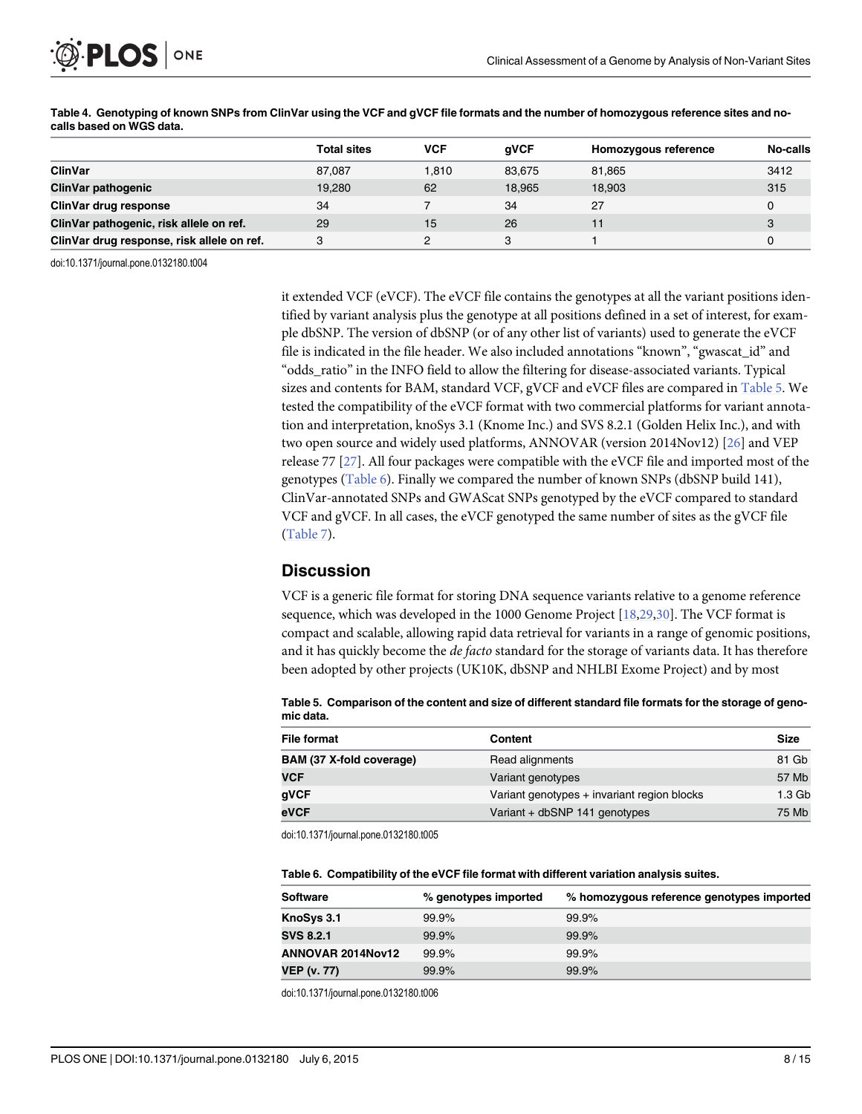<span id="page-7-0"></span>

|                                            | <b>Total sites</b> | <b>VCF</b> | aVCF   | Homozygous reference | No-calls |
|--------------------------------------------|--------------------|------------|--------|----------------------|----------|
| ClinVar                                    | 87.087             | 1.810      | 83,675 | 81,865               | 3412     |
| <b>ClinVar pathogenic</b>                  | 19,280             | 62         | 18.965 | 18,903               | 315      |
| ClinVar drug response                      | 34                 |            | 34     | 27                   |          |
| ClinVar pathogenic, risk allele on ref.    | 29                 | 15         | 26     | 11                   | 3        |
| ClinVar drug response, risk allele on ref. | 3                  |            |        |                      |          |

[Table 4.](#page-6-0) Genotyping of known SNPs from ClinVar using the VCF and gVCF file formats and the number of homozygous reference sites and nocalls based on WGS data.

doi:10.1371/journal.pone.0132180.t004

it extended VCF (eVCF). The eVCF file contains the genotypes at all the variant positions identified by variant analysis plus the genotype at all positions defined in a set of interest, for example dbSNP. The version of dbSNP (or of any other list of variants) used to generate the eVCF file is indicated in the file header. We also included annotations "known", "gwascat\_id" and "odds\_ratio" in the INFO field to allow the filtering for disease-associated variants. Typical sizes and contents for BAM, standard VCF, gVCF and eVCF files are compared in Table 5. We tested the compatibility of the eVCF format with two commercial platforms for variant annotation and interpretation, knoSys 3.1 (Knome Inc.) and SVS 8.2.1 (Golden Helix Inc.), and with two open source and widely used platforms, ANNOVAR (version 2014Nov12) [[26](#page-12-0)] and VEP release 77 [\[27\]](#page-13-0). All four packages were compatible with the eVCF file and imported most of the genotypes (Table 6). Finally we compared the number of known SNPs (dbSNP build 141), ClinVar-annotated SNPs and GWAScat SNPs genotyped by the eVCF compared to standard VCF and gVCF. In all cases, the eVCF genotyped the same number of sites as the gVCF file [\(Table 7\)](#page-8-0).

# **Discussion**

VCF is a generic file format for storing DNA sequence variants relative to a genome reference sequence, which was developed in the 1000 Genome Project [[18](#page-12-0)[,29,30\]](#page-13-0). The VCF format is compact and scalable, allowing rapid data retrieval for variants in a range of genomic positions, and it has quickly become the *de facto* standard for the storage of variants data. It has therefore been adopted by other projects (UK10K, dbSNP and NHLBI Exome Project) and by most

Table 5. Comparison of the content and size of different standard file formats for the storage of genomic data.

| File format              | <b>Content</b>                              | <b>Size</b>       |
|--------------------------|---------------------------------------------|-------------------|
| BAM (37 X-fold coverage) | Read alignments                             | 81 Gb             |
| <b>VCF</b>               | Variant genotypes                           | 57 Mb             |
| gVCF                     | Variant genotypes + invariant region blocks | 1.3 <sub>Gb</sub> |
| eVCF                     | Variant + dbSNP 141 genotypes               | 75 Mb             |

doi:10.1371/journal.pone.0132180.t005

|  |  |  |  |  | Table 6. Compatibility of the eVCF file format with different variation analysis suites. |  |
|--|--|--|--|--|------------------------------------------------------------------------------------------|--|
|--|--|--|--|--|------------------------------------------------------------------------------------------|--|

| <b>Software</b>    | % genotypes imported | % homozygous reference genotypes imported |
|--------------------|----------------------|-------------------------------------------|
| KnoSys 3.1         | 99.9%                | 99.9%                                     |
| <b>SVS 8.2.1</b>   | 99.9%                | 99.9%                                     |
| ANNOVAR 2014 Nov12 | 99.9%                | 99.9%                                     |
| <b>VEP (v. 77)</b> | 99.9%                | 99.9%                                     |

doi:10.1371/journal.pone.0132180.t006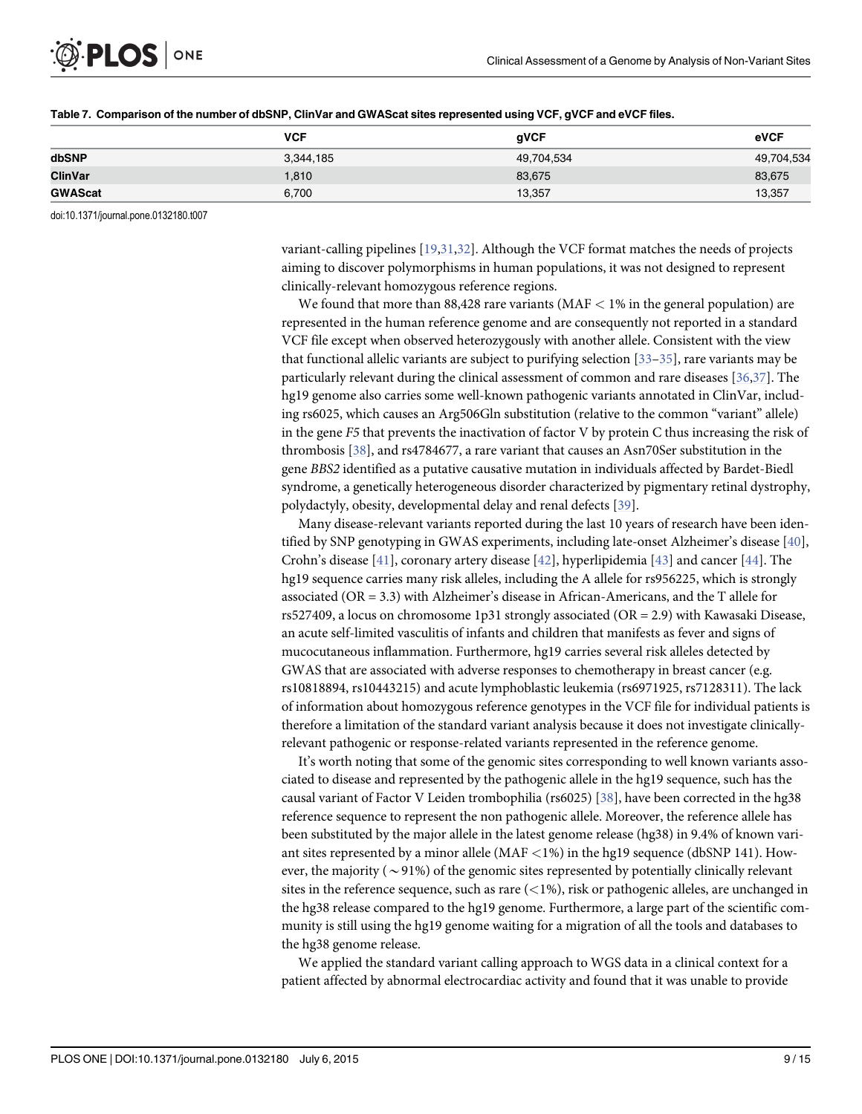<span id="page-8-0"></span>

|                | <b>VCF</b> | qVCF       | eVCF       |
|----------------|------------|------------|------------|
| dbSNP          | 3,344,185  | 49,704,534 | 49,704,534 |
| <b>ClinVar</b> | 1,810      | 83,675     | 83,675     |
| <b>GWAScat</b> | 6.700      | 13,357     | 13,357     |

| Table 7. Comparison of the number of dbSNP, ClinVar and GWAScat sites represented using VCF, gVCF and eVCF files. |  |  |
|-------------------------------------------------------------------------------------------------------------------|--|--|
|                                                                                                                   |  |  |

doi:10.1371/journal.pone.0132180.t007

variant-calling pipelines [\[19,](#page-12-0)[31,32](#page-13-0)]. Although the VCF format matches the needs of projects aiming to discover polymorphisms in human populations, it was not designed to represent clinically-relevant homozygous reference regions.

We found that more than  $88,428$  rare variants (MAF  $< 1\%$  in the general population) are represented in the human reference genome and are consequently not reported in a standard VCF file except when observed heterozygously with another allele. Consistent with the view that functional allelic variants are subject to purifying selection  $\left[33-35\right]$  $\left[33-35\right]$  $\left[33-35\right]$ , rare variants may be particularly relevant during the clinical assessment of common and rare diseases [\[36,37](#page-13-0)]. The hg19 genome also carries some well-known pathogenic variants annotated in ClinVar, including rs6025, which causes an Arg506Gln substitution (relative to the common "variant" allele) in the gene F5 that prevents the inactivation of factor V by protein C thus increasing the risk of thrombosis [[38](#page-13-0)], and rs4784677, a rare variant that causes an Asn70Ser substitution in the gene BBS2 identified as a putative causative mutation in individuals affected by Bardet-Biedl syndrome, a genetically heterogeneous disorder characterized by pigmentary retinal dystrophy, polydactyly, obesity, developmental delay and renal defects [[39](#page-13-0)].

Many disease-relevant variants reported during the last 10 years of research have been identified by SNP genotyping in GWAS experiments, including late-onset Alzheimer's disease [[40](#page-13-0)], Crohn's disease [\[41](#page-13-0)], coronary artery disease [\[42\]](#page-13-0), hyperlipidemia [[43](#page-13-0)] and cancer [[44](#page-13-0)]. The hg19 sequence carries many risk alleles, including the A allele for rs956225, which is strongly associated (OR = 3.3) with Alzheimer's disease in African-Americans, and the T allele for rs527409, a locus on chromosome 1p31 strongly associated (OR = 2.9) with Kawasaki Disease, an acute self-limited vasculitis of infants and children that manifests as fever and signs of mucocutaneous inflammation. Furthermore, hg19 carries several risk alleles detected by GWAS that are associated with adverse responses to chemotherapy in breast cancer (e.g. rs10818894, rs10443215) and acute lymphoblastic leukemia (rs6971925, rs7128311). The lack of information about homozygous reference genotypes in the VCF file for individual patients is therefore a limitation of the standard variant analysis because it does not investigate clinicallyrelevant pathogenic or response-related variants represented in the reference genome.

It's worth noting that some of the genomic sites corresponding to well known variants associated to disease and represented by the pathogenic allele in the hg19 sequence, such has the causal variant of Factor V Leiden trombophilia (rs6025) [\[38](#page-13-0)], have been corrected in the hg38 reference sequence to represent the non pathogenic allele. Moreover, the reference allele has been substituted by the major allele in the latest genome release (hg38) in 9.4% of known variant sites represented by a minor allele ( $MAF < 1\%$ ) in the hg19 sequence (dbSNP 141). However, the majority ( $\sim$ 91%) of the genomic sites represented by potentially clinically relevant sites in the reference sequence, such as rare  $(<1%)$ , risk or pathogenic alleles, are unchanged in the hg38 release compared to the hg19 genome. Furthermore, a large part of the scientific community is still using the hg19 genome waiting for a migration of all the tools and databases to the hg38 genome release.

We applied the standard variant calling approach to WGS data in a clinical context for a patient affected by abnormal electrocardiac activity and found that it was unable to provide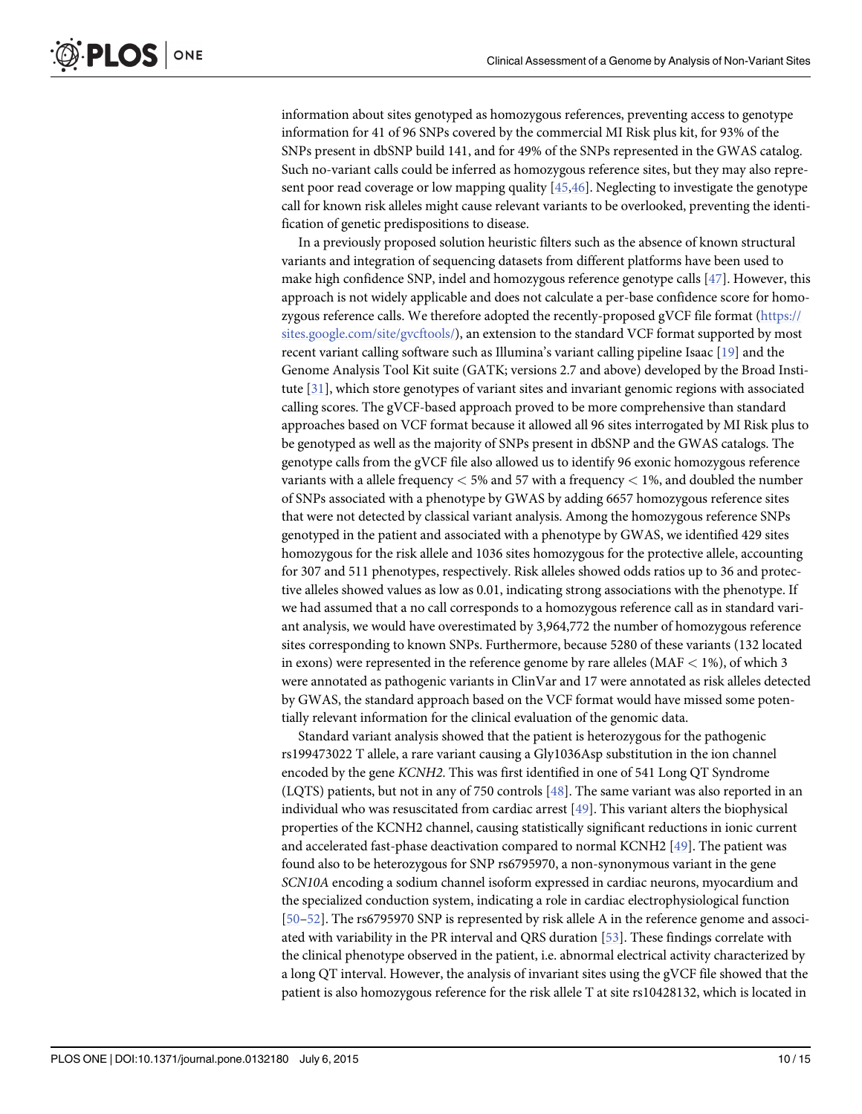<span id="page-9-0"></span>information about sites genotyped as homozygous references, preventing access to genotype information for 41 of 96 SNPs covered by the commercial MI Risk plus kit, for 93% of the SNPs present in dbSNP build 141, and for 49% of the SNPs represented in the GWAS catalog. Such no-variant calls could be inferred as homozygous reference sites, but they may also represent poor read coverage or low mapping quality [\[45,46\]](#page-13-0). Neglecting to investigate the genotype call for known risk alleles might cause relevant variants to be overlooked, preventing the identification of genetic predispositions to disease.

In a previously proposed solution heuristic filters such as the absence of known structural variants and integration of sequencing datasets from different platforms have been used to make high confidence SNP, indel and homozygous reference genotype calls [\[47](#page-13-0)]. However, this approach is not widely applicable and does not calculate a per-base confidence score for homozygous reference calls. We therefore adopted the recently-proposed gVCF file format [\(https://](https://sites.google.com/site/gvcftools/) [sites.google.com/site/gvcftools/](https://sites.google.com/site/gvcftools/)), an extension to the standard VCF format supported by most recent variant calling software such as Illumina's variant calling pipeline Isaac [\[19\]](#page-12-0) and the Genome Analysis Tool Kit suite (GATK; versions 2.7 and above) developed by the Broad Institute [\[31\]](#page-13-0), which store genotypes of variant sites and invariant genomic regions with associated calling scores. The gVCF-based approach proved to be more comprehensive than standard approaches based on VCF format because it allowed all 96 sites interrogated by MI Risk plus to be genotyped as well as the majority of SNPs present in dbSNP and the GWAS catalogs. The genotype calls from the gVCF file also allowed us to identify 96 exonic homozygous reference variants with a allele frequency  $<$  5% and 57 with a frequency  $<$  1%, and doubled the number of SNPs associated with a phenotype by GWAS by adding 6657 homozygous reference sites that were not detected by classical variant analysis. Among the homozygous reference SNPs genotyped in the patient and associated with a phenotype by GWAS, we identified 429 sites homozygous for the risk allele and 1036 sites homozygous for the protective allele, accounting for 307 and 511 phenotypes, respectively. Risk alleles showed odds ratios up to 36 and protective alleles showed values as low as 0.01, indicating strong associations with the phenotype. If we had assumed that a no call corresponds to a homozygous reference call as in standard variant analysis, we would have overestimated by 3,964,772 the number of homozygous reference sites corresponding to known SNPs. Furthermore, because 5280 of these variants (132 located in exons) were represented in the reference genome by rare alleles ( $MAF < 1\%$ ), of which 3 were annotated as pathogenic variants in ClinVar and 17 were annotated as risk alleles detected by GWAS, the standard approach based on the VCF format would have missed some potentially relevant information for the clinical evaluation of the genomic data.

Standard variant analysis showed that the patient is heterozygous for the pathogenic rs199473022 T allele, a rare variant causing a Gly1036Asp substitution in the ion channel encoded by the gene KCNH2. This was first identified in one of 541 Long QT Syndrome (LQTS) patients, but not in any of 750 controls [\[48\]](#page-14-0). The same variant was also reported in an individual who was resuscitated from cardiac arrest  $[49]$  $[49]$  $[49]$ . This variant alters the biophysical properties of the KCNH2 channel, causing statistically significant reductions in ionic current and accelerated fast-phase deactivation compared to normal KCNH2 [[49\]](#page-14-0). The patient was found also to be heterozygous for SNP rs6795970, a non-synonymous variant in the gene SCN10A encoding a sodium channel isoform expressed in cardiac neurons, myocardium and the specialized conduction system, indicating a role in cardiac electrophysiological function [\[50](#page-14-0)–[52\]](#page-14-0). The rs6795970 SNP is represented by risk allele A in the reference genome and associated with variability in the PR interval and QRS duration [\[53\]](#page-14-0). These findings correlate with the clinical phenotype observed in the patient, i.e. abnormal electrical activity characterized by a long QT interval. However, the analysis of invariant sites using the gVCF file showed that the patient is also homozygous reference for the risk allele T at site rs10428132, which is located in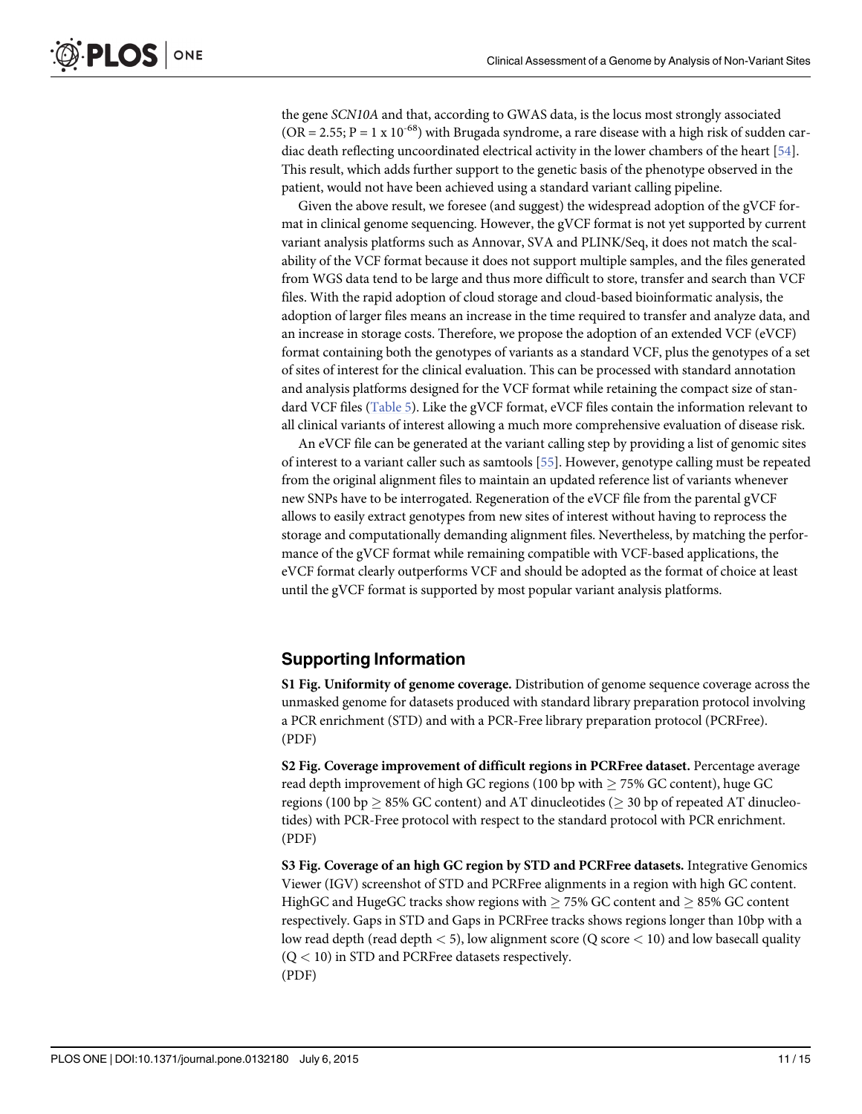<span id="page-10-0"></span>the gene SCN10A and that, according to GWAS data, is the locus most strongly associated  $(OR = 2.55; P = 1 \times 10^{-68})$  with Brugada syndrome, a rare disease with a high risk of sudden cardiac death reflecting uncoordinated electrical activity in the lower chambers of the heart [[54](#page-14-0)]. This result, which adds further support to the genetic basis of the phenotype observed in the patient, would not have been achieved using a standard variant calling pipeline.

Given the above result, we foresee (and suggest) the widespread adoption of the gVCF format in clinical genome sequencing. However, the gVCF format is not yet supported by current variant analysis platforms such as Annovar, SVA and PLINK/Seq, it does not match the scalability of the VCF format because it does not support multiple samples, and the files generated from WGS data tend to be large and thus more difficult to store, transfer and search than VCF files. With the rapid adoption of cloud storage and cloud-based bioinformatic analysis, the adoption of larger files means an increase in the time required to transfer and analyze data, and an increase in storage costs. Therefore, we propose the adoption of an extended VCF (eVCF) format containing both the genotypes of variants as a standard VCF, plus the genotypes of a set of sites of interest for the clinical evaluation. This can be processed with standard annotation and analysis platforms designed for the VCF format while retaining the compact size of standard VCF files [\(Table 5](#page-7-0)). Like the gVCF format, eVCF files contain the information relevant to all clinical variants of interest allowing a much more comprehensive evaluation of disease risk.

An eVCF file can be generated at the variant calling step by providing a list of genomic sites of interest to a variant caller such as samtools [\[55\]](#page-14-0). However, genotype calling must be repeated from the original alignment files to maintain an updated reference list of variants whenever new SNPs have to be interrogated. Regeneration of the eVCF file from the parental gVCF allows to easily extract genotypes from new sites of interest without having to reprocess the storage and computationally demanding alignment files. Nevertheless, by matching the performance of the gVCF format while remaining compatible with VCF-based applications, the eVCF format clearly outperforms VCF and should be adopted as the format of choice at least until the gVCF format is supported by most popular variant analysis platforms.

# Supporting Information

[S1 Fig.](http://www.plosone.org/article/fetchSingleRepresentation.action?uri=info:doi/10.1371/journal.pone.0132180.s001) Uniformity of genome coverage. Distribution of genome sequence coverage across the unmasked genome for datasets produced with standard library preparation protocol involving a PCR enrichment (STD) and with a PCR-Free library preparation protocol (PCRFree). (PDF)

[S2 Fig.](http://www.plosone.org/article/fetchSingleRepresentation.action?uri=info:doi/10.1371/journal.pone.0132180.s002) Coverage improvement of difficult regions in PCRFree dataset. Percentage average read depth improvement of high GC regions (100 bp with  $\geq$  75% GC content), huge GC regions (100 bp  $\geq$  85% GC content) and AT dinucleotides ( $\geq$  30 bp of repeated AT dinucleotides) with PCR-Free protocol with respect to the standard protocol with PCR enrichment. (PDF)

[S3 Fig.](http://www.plosone.org/article/fetchSingleRepresentation.action?uri=info:doi/10.1371/journal.pone.0132180.s003) Coverage of an high GC region by STD and PCRFree datasets. Integrative Genomics Viewer (IGV) screenshot of STD and PCRFree alignments in a region with high GC content. HighGC and HugeGC tracks show regions with  $\geq$  75% GC content and  $\geq$  85% GC content respectively. Gaps in STD and Gaps in PCRFree tracks shows regions longer than 10bp with a low read depth (read depth  $\lt$  5), low alignment score (Q score  $\lt$  10) and low basecall quality  $(Q < 10)$  in STD and PCRFree datasets respectively. (PDF)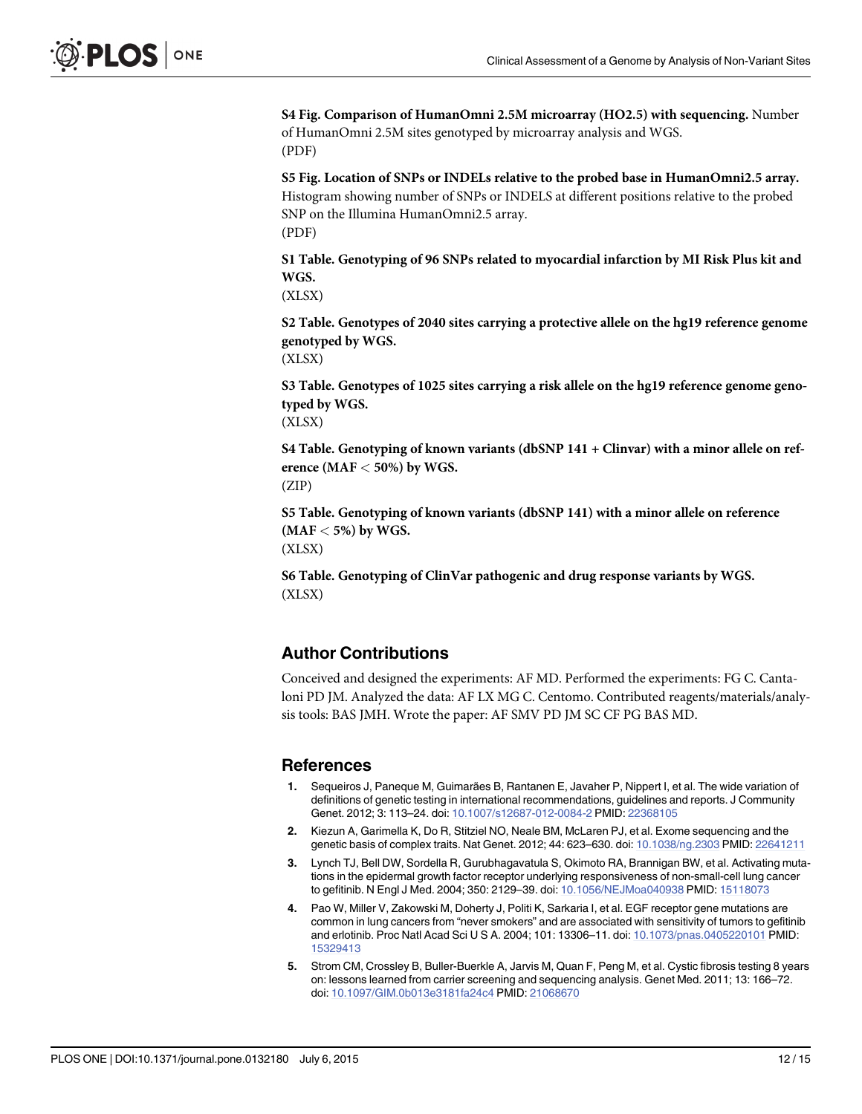<span id="page-11-0"></span>[S4 Fig.](http://www.plosone.org/article/fetchSingleRepresentation.action?uri=info:doi/10.1371/journal.pone.0132180.s005) Comparison of HumanOmni 2.5M microarray (HO2.5) with sequencing. Number of HumanOmni 2.5M sites genotyped by microarray analysis and WGS. (PDF)

[S5 Fig.](http://www.plosone.org/article/fetchSingleRepresentation.action?uri=info:doi/10.1371/journal.pone.0132180.s005) Location of SNPs or INDELs relative to the probed base in HumanOmni2.5 array. Histogram showing number of SNPs or INDELS at different positions relative to the probed SNP on the Illumina HumanOmni2.5 array. (PDF)

[S1 Table](http://www.plosone.org/article/fetchSingleRepresentation.action?uri=info:doi/10.1371/journal.pone.0132180.s006). Genotyping of 96 SNPs related to myocardial infarction by MI Risk Plus kit and WGS.

(XLSX)

[S2 Table](http://www.plosone.org/article/fetchSingleRepresentation.action?uri=info:doi/10.1371/journal.pone.0132180.s007). Genotypes of 2040 sites carrying a protective allele on the hg19 reference genome genotyped by WGS.

(XLSX)

[S3 Table](http://www.plosone.org/article/fetchSingleRepresentation.action?uri=info:doi/10.1371/journal.pone.0132180.s008). Genotypes of 1025 sites carrying a risk allele on the hg19 reference genome genotyped by WGS.

(XLSX)

[S4 Table](http://www.plosone.org/article/fetchSingleRepresentation.action?uri=info:doi/10.1371/journal.pone.0132180.s009). Genotyping of known variants (dbSNP 141 + Clinvar) with a minor allele on reference ( $MAF < 50\%$ ) by WGS. (ZIP)

[S5 Table](http://www.plosone.org/article/fetchSingleRepresentation.action?uri=info:doi/10.1371/journal.pone.0132180.s010). Genotyping of known variants (dbSNP 141) with a minor allele on reference  $(MAF < 5\%)$  by WGS.

(XLSX)

[S6 Table](http://www.plosone.org/article/fetchSingleRepresentation.action?uri=info:doi/10.1371/journal.pone.0132180.s011). Genotyping of ClinVar pathogenic and drug response variants by WGS. (XLSX)

#### Author Contributions

Conceived and designed the experiments: AF MD. Performed the experiments: FG C. Cantaloni PD JM. Analyzed the data: AF LX MG C. Centomo. Contributed reagents/materials/analysis tools: BAS JMH. Wrote the paper: AF SMV PD JM SC CF PG BAS MD.

#### References

- [1.](#page-1-0) Sequeiros J, Paneque M, Guimarães B, Rantanen E, Javaher P, Nippert I, et al. The wide variation of definitions of genetic testing in international recommendations, guidelines and reports. J Community Genet. 2012; 3: 113–24. doi: [10.1007/s12687-012-0084-2](http://dx.doi.org/10.1007/s12687-012-0084-2) PMID: [22368105](http://www.ncbi.nlm.nih.gov/pubmed/22368105)
- [2.](#page-1-0) Kiezun A, Garimella K, Do R, Stitziel NO, Neale BM, McLaren PJ, et al. Exome sequencing and the genetic basis of complex traits. Nat Genet. 2012; 44: 623–630. doi: [10.1038/ng.2303](http://dx.doi.org/10.1038/ng.2303) PMID: [22641211](http://www.ncbi.nlm.nih.gov/pubmed/22641211)
- [3.](#page-1-0) Lynch TJ, Bell DW, Sordella R, Gurubhagavatula S, Okimoto RA, Brannigan BW, et al. Activating mutations in the epidermal growth factor receptor underlying responsiveness of non-small-cell lung cancer to gefitinib. N Engl J Med. 2004; 350: 2129–39. doi: [10.1056/NEJMoa040938](http://dx.doi.org/10.1056/NEJMoa040938) PMID: [15118073](http://www.ncbi.nlm.nih.gov/pubmed/15118073)
- [4.](#page-1-0) Pao W, Miller V, Zakowski M, Doherty J, Politi K, Sarkaria I, et al. EGF receptor gene mutations are common in lung cancers from "never smokers" and are associated with sensitivity of tumors to gefitinib and erlotinib. Proc Natl Acad Sci U S A. 2004; 101: 13306–11. doi: [10.1073/pnas.0405220101](http://dx.doi.org/10.1073/pnas.0405220101) PMID: [15329413](http://www.ncbi.nlm.nih.gov/pubmed/15329413)
- [5.](#page-1-0) Strom CM, Crossley B, Buller-Buerkle A, Jarvis M, Quan F, Peng M, et al. Cystic fibrosis testing 8 years on: lessons learned from carrier screening and sequencing analysis. Genet Med. 2011; 13: 166–72. doi: [10.1097/GIM.0b013e3181fa24c4](http://dx.doi.org/10.1097/GIM.0b013e3181fa24c4) PMID: [21068670](http://www.ncbi.nlm.nih.gov/pubmed/21068670)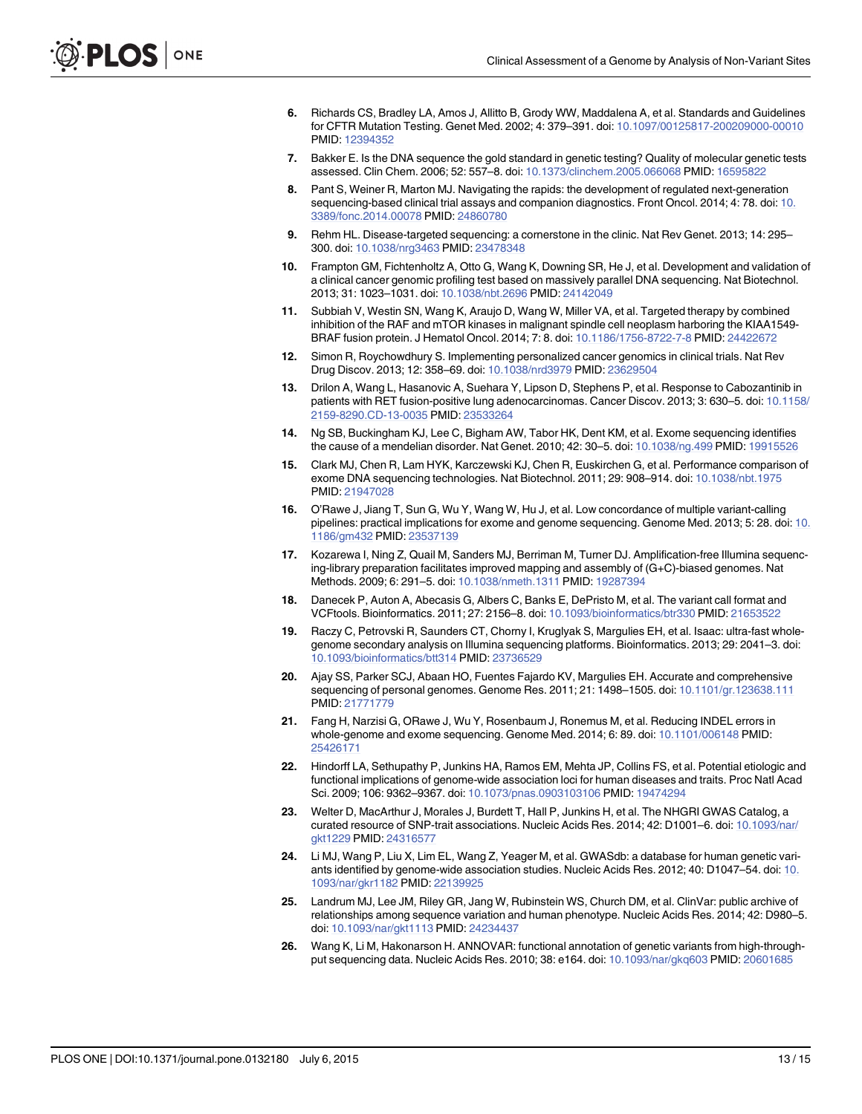- <span id="page-12-0"></span>[6.](#page-1-0) Richards CS, Bradley LA, Amos J, Allitto B, Grody WW, Maddalena A, et al. Standards and Guidelines for CFTR Mutation Testing. Genet Med. 2002; 4: 379–391. doi: [10.1097/00125817-200209000-00010](http://dx.doi.org/10.1097/00125817-200209000-00010) PMID: [12394352](http://www.ncbi.nlm.nih.gov/pubmed/12394352)
- [7.](#page-1-0) Bakker E. Is the DNA sequence the gold standard in genetic testing? Quality of molecular genetic tests assessed. Clin Chem. 2006; 52: 557–8. doi: [10.1373/clinchem.2005.066068](http://dx.doi.org/10.1373/clinchem.2005.066068) PMID: [16595822](http://www.ncbi.nlm.nih.gov/pubmed/16595822)
- [8.](#page-1-0) Pant S, Weiner R, Marton MJ. Navigating the rapids: the development of regulated next-generation sequencing-based clinical trial assays and companion diagnostics. Front Oncol. 2014; 4: 78. doi: [10.](http://dx.doi.org/10.3389/fonc.2014.00078) [3389/fonc.2014.00078](http://dx.doi.org/10.3389/fonc.2014.00078) PMID: [24860780](http://www.ncbi.nlm.nih.gov/pubmed/24860780)
- [9.](#page-1-0) Rehm HL. Disease-targeted sequencing: a cornerstone in the clinic. Nat Rev Genet. 2013; 14: 295– 300. doi: [10.1038/nrg3463](http://dx.doi.org/10.1038/nrg3463) PMID: [23478348](http://www.ncbi.nlm.nih.gov/pubmed/23478348)
- [10.](#page-1-0) Frampton GM, Fichtenholtz A, Otto G, Wang K, Downing SR, He J, et al. Development and validation of a clinical cancer genomic profiling test based on massively parallel DNA sequencing. Nat Biotechnol. 2013; 31: 1023–1031. doi: [10.1038/nbt.2696](http://dx.doi.org/10.1038/nbt.2696) PMID: [24142049](http://www.ncbi.nlm.nih.gov/pubmed/24142049)
- [11.](#page-1-0) Subbiah V, Westin SN, Wang K, Araujo D, Wang W, Miller VA, et al. Targeted therapy by combined inhibition of the RAF and mTOR kinases in malignant spindle cell neoplasm harboring the KIAA1549- BRAF fusion protein. J Hematol Oncol. 2014; 7: 8. doi: [10.1186/1756-8722-7-8](http://dx.doi.org/10.1186/1756-8722-7-8) PMID: [24422672](http://www.ncbi.nlm.nih.gov/pubmed/24422672)
- 12. Simon R, Roychowdhury S. Implementing personalized cancer genomics in clinical trials. Nat Rev Drug Discov. 2013; 12: 358–69. doi: [10.1038/nrd3979](http://dx.doi.org/10.1038/nrd3979) PMID: [23629504](http://www.ncbi.nlm.nih.gov/pubmed/23629504)
- [13.](#page-1-0) Drilon A, Wang L, Hasanovic A, Suehara Y, Lipson D, Stephens P, et al. Response to Cabozantinib in patients with RET fusion-positive lung adenocarcinomas. Cancer Discov. 2013; 3: 630-5. doi: [10.1158/](http://dx.doi.org/10.1158/2159-8290.CD-13-0035) [2159-8290.CD-13-0035](http://dx.doi.org/10.1158/2159-8290.CD-13-0035) PMID: [23533264](http://www.ncbi.nlm.nih.gov/pubmed/23533264)
- [14.](#page-2-0) Ng SB, Buckingham KJ, Lee C, Bigham AW, Tabor HK, Dent KM, et al. Exome sequencing identifies the cause of a mendelian disorder. Nat Genet. 2010; 42: 30–5. doi: [10.1038/ng.499](http://dx.doi.org/10.1038/ng.499) PMID: [19915526](http://www.ncbi.nlm.nih.gov/pubmed/19915526)
- [15.](#page-2-0) Clark MJ, Chen R, Lam HYK, Karczewski KJ, Chen R, Euskirchen G, et al. Performance comparison of exome DNA sequencing technologies. Nat Biotechnol. 2011; 29: 908–914. doi: [10.1038/nbt.1975](http://dx.doi.org/10.1038/nbt.1975) PMID: [21947028](http://www.ncbi.nlm.nih.gov/pubmed/21947028)
- [16.](#page-2-0) O'Rawe J, Jiang T, Sun G, Wu Y, Wang W, Hu J, et al. Low concordance of multiple variant-calling pipelines: practical implications for exome and genome sequencing. Genome Med. 2013; 5: 28. doi: [10.](http://dx.doi.org/10.1186/gm432) [1186/gm432](http://dx.doi.org/10.1186/gm432) PMID: [23537139](http://www.ncbi.nlm.nih.gov/pubmed/23537139)
- [17.](#page-2-0) Kozarewa I, Ning Z, Quail M, Sanders MJ, Berriman M, Turner DJ. Amplification-free Illumina sequencing-library preparation facilitates improved mapping and assembly of (G+C)-biased genomes. Nat Methods. 2009; 6: 291–5. doi: [10.1038/nmeth.1311](http://dx.doi.org/10.1038/nmeth.1311) PMID: [19287394](http://www.ncbi.nlm.nih.gov/pubmed/19287394)
- [18.](#page-2-0) Danecek P, Auton A, Abecasis G, Albers C, Banks E, DePristo M, et al. The variant call format and VCFtools. Bioinformatics. 2011; 27: 2156–8. doi: [10.1093/bioinformatics/btr330](http://dx.doi.org/10.1093/bioinformatics/btr330) PMID: [21653522](http://www.ncbi.nlm.nih.gov/pubmed/21653522)
- [19.](#page-3-0) Raczy C, Petrovski R, Saunders CT, Chorny I, Kruglyak S, Margulies EH, et al. Isaac: ultra-fast wholegenome secondary analysis on Illumina sequencing platforms. Bioinformatics. 2013; 29: 2041–3. doi: [10.1093/bioinformatics/btt314](http://dx.doi.org/10.1093/bioinformatics/btt314) PMID: [23736529](http://www.ncbi.nlm.nih.gov/pubmed/23736529)
- [20.](#page-4-0) Ajay SS, Parker SCJ, Abaan HO, Fuentes Fajardo KV, Margulies EH. Accurate and comprehensive sequencing of personal genomes. Genome Res. 2011; 21: 1498-1505. doi: [10.1101/gr.123638.111](http://dx.doi.org/10.1101/gr.123638.111) PMID: [21771779](http://www.ncbi.nlm.nih.gov/pubmed/21771779)
- [21.](#page-4-0) Fang H, Narzisi G, ORawe J, Wu Y, Rosenbaum J, Ronemus M, et al. Reducing INDEL errors in whole-genome and exome sequencing. Genome Med. 2014; 6: 89. doi: [10.1101/006148](http://dx.doi.org/10.1101/006148) PMID: [25426171](http://www.ncbi.nlm.nih.gov/pubmed/25426171)
- [22.](#page-5-0) Hindorff LA, Sethupathy P, Junkins HA, Ramos EM, Mehta JP, Collins FS, et al. Potential etiologic and functional implications of genome-wide association loci for human diseases and traits. Proc Natl Acad Sci. 2009; 106: 9362–9367. doi: [10.1073/pnas.0903103106](http://dx.doi.org/10.1073/pnas.0903103106) PMID: [19474294](http://www.ncbi.nlm.nih.gov/pubmed/19474294)
- [23.](#page-5-0) Welter D, MacArthur J, Morales J, Burdett T, Hall P, Junkins H, et al. The NHGRI GWAS Catalog, a curated resource of SNP-trait associations. Nucleic Acids Res. 2014; 42: D1001–6. doi: [10.1093/nar/](http://dx.doi.org/10.1093/nar/gkt1229) [gkt1229](http://dx.doi.org/10.1093/nar/gkt1229) PMID: [24316577](http://www.ncbi.nlm.nih.gov/pubmed/24316577)
- [24.](#page-5-0) Li MJ, Wang P, Liu X, Lim EL, Wang Z, Yeager M, et al. GWASdb: a database for human genetic variants identified by genome-wide association studies. Nucleic Acids Res. 2012; 40: D1047–54. doi: [10.](http://dx.doi.org/10.1093/nar/gkr1182) [1093/nar/gkr1182](http://dx.doi.org/10.1093/nar/gkr1182) PMID: [22139925](http://www.ncbi.nlm.nih.gov/pubmed/22139925)
- [25.](#page-6-0) Landrum MJ, Lee JM, Riley GR, Jang W, Rubinstein WS, Church DM, et al. ClinVar: public archive of relationships among sequence variation and human phenotype. Nucleic Acids Res. 2014; 42: D980–5. doi: [10.1093/nar/gkt1113](http://dx.doi.org/10.1093/nar/gkt1113) PMID: [24234437](http://www.ncbi.nlm.nih.gov/pubmed/24234437)
- [26.](#page-6-0) Wang K, Li M, Hakonarson H. ANNOVAR: functional annotation of genetic variants from high-throughput sequencing data. Nucleic Acids Res. 2010; 38: e164. doi: [10.1093/nar/gkq603](http://dx.doi.org/10.1093/nar/gkq603) PMID: [20601685](http://www.ncbi.nlm.nih.gov/pubmed/20601685)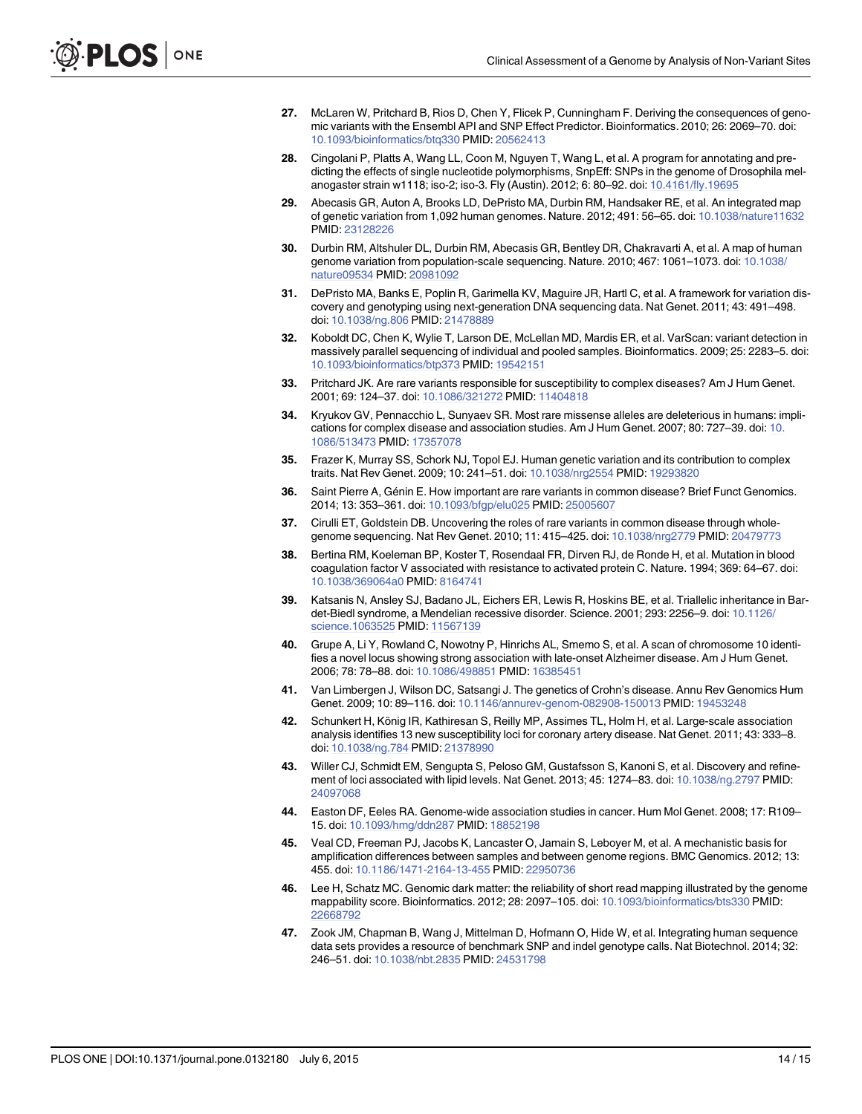- <span id="page-13-0"></span>[27.](#page-7-0) McLaren W, Pritchard B, Rios D, Chen Y, Flicek P, Cunningham F. Deriving the consequences of genomic variants with the Ensembl API and SNP Effect Predictor. Bioinformatics. 2010; 26: 2069–70. doi: [10.1093/bioinformatics/btq330](http://dx.doi.org/10.1093/bioinformatics/btq330) PMID: [20562413](http://www.ncbi.nlm.nih.gov/pubmed/20562413)
- [28.](#page-6-0) Cingolani P, Platts A, Wang LL, Coon M, Nguyen T, Wang L, et al. A program for annotating and predicting the effects of single nucleotide polymorphisms, SnpEff: SNPs in the genome of Drosophila melanogaster strain w1118; iso-2; iso-3. Fly (Austin). 2012; 6: 80–92. doi: [10.4161/fly.19695](http://dx.doi.org/10.4161/fly.19695)
- [29.](#page-7-0) Abecasis GR, Auton A, Brooks LD, DePristo MA, Durbin RM, Handsaker RE, et al. An integrated map of genetic variation from 1,092 human genomes. Nature. 2012; 491: 56–65. doi: [10.1038/nature11632](http://dx.doi.org/10.1038/nature11632) PMID: [23128226](http://www.ncbi.nlm.nih.gov/pubmed/23128226)
- [30.](#page-7-0) Durbin RM, Altshuler DL, Durbin RM, Abecasis GR, Bentley DR, Chakravarti A, et al. A map of human genome variation from population-scale sequencing. Nature. 2010; 467: 1061-1073. doi: [10.1038/](http://dx.doi.org/10.1038/nature09534) [nature09534](http://dx.doi.org/10.1038/nature09534) PMID: [20981092](http://www.ncbi.nlm.nih.gov/pubmed/20981092)
- [31.](#page-8-0) DePristo MA, Banks E, Poplin R, Garimella KV, Maguire JR, Hartl C, et al. A framework for variation discovery and genotyping using next-generation DNA sequencing data. Nat Genet. 2011; 43: 491–498. doi: [10.1038/ng.806](http://dx.doi.org/10.1038/ng.806) PMID: [21478889](http://www.ncbi.nlm.nih.gov/pubmed/21478889)
- [32.](#page-8-0) Koboldt DC, Chen K, Wylie T, Larson DE, McLellan MD, Mardis ER, et al. VarScan: variant detection in massively parallel sequencing of individual and pooled samples. Bioinformatics. 2009; 25: 2283–5. doi: [10.1093/bioinformatics/btp373](http://dx.doi.org/10.1093/bioinformatics/btp373) PMID: [19542151](http://www.ncbi.nlm.nih.gov/pubmed/19542151)
- [33.](#page-8-0) Pritchard JK. Are rare variants responsible for susceptibility to complex diseases? Am J Hum Genet. 2001; 69: 124–37. doi: [10.1086/321272](http://dx.doi.org/10.1086/321272) PMID: [11404818](http://www.ncbi.nlm.nih.gov/pubmed/11404818)
- 34. Kryukov GV, Pennacchio L, Sunyaev SR. Most rare missense alleles are deleterious in humans: implications for complex disease and association studies. Am J Hum Genet. 2007; 80: 727–39. doi: [10.](http://dx.doi.org/10.1086/513473) [1086/513473](http://dx.doi.org/10.1086/513473) PMID: [17357078](http://www.ncbi.nlm.nih.gov/pubmed/17357078)
- [35.](#page-8-0) Frazer K, Murray SS, Schork NJ, Topol EJ. Human genetic variation and its contribution to complex traits. Nat Rev Genet. 2009; 10: 241–51. doi: [10.1038/nrg2554](http://dx.doi.org/10.1038/nrg2554) PMID: [19293820](http://www.ncbi.nlm.nih.gov/pubmed/19293820)
- [36.](#page-8-0) Saint Pierre A, Génin E. How important are rare variants in common disease? Brief Funct Genomics. 2014; 13: 353–361. doi: [10.1093/bfgp/elu025](http://dx.doi.org/10.1093/bfgp/elu025) PMID: [25005607](http://www.ncbi.nlm.nih.gov/pubmed/25005607)
- [37.](#page-8-0) Cirulli ET, Goldstein DB. Uncovering the roles of rare variants in common disease through wholegenome sequencing. Nat Rev Genet. 2010; 11: 415–425. doi: [10.1038/nrg2779](http://dx.doi.org/10.1038/nrg2779) PMID: [20479773](http://www.ncbi.nlm.nih.gov/pubmed/20479773)
- [38.](#page-8-0) Bertina RM, Koeleman BP, Koster T, Rosendaal FR, Dirven RJ, de Ronde H, et al. Mutation in blood coagulation factor V associated with resistance to activated protein C. Nature. 1994; 369: 64–67. doi: [10.1038/369064a0](http://dx.doi.org/10.1038/369064a0) PMID: [8164741](http://www.ncbi.nlm.nih.gov/pubmed/8164741)
- [39.](#page-8-0) Katsanis N, Ansley SJ, Badano JL, Eichers ER, Lewis R, Hoskins BE, et al. Triallelic inheritance in Bardet-Biedl syndrome, a Mendelian recessive disorder. Science. 2001; 293: 2256–9. doi: [10.1126/](http://dx.doi.org/10.1126/science.1063525) [science.1063525](http://dx.doi.org/10.1126/science.1063525) PMID: [11567139](http://www.ncbi.nlm.nih.gov/pubmed/11567139)
- [40.](#page-8-0) Grupe A, Li Y, Rowland C, Nowotny P, Hinrichs AL, Smemo S, et al. A scan of chromosome 10 identifies a novel locus showing strong association with late-onset Alzheimer disease. Am J Hum Genet. 2006; 78: 78–88. doi: [10.1086/498851](http://dx.doi.org/10.1086/498851) PMID: [16385451](http://www.ncbi.nlm.nih.gov/pubmed/16385451)
- [41.](#page-8-0) Van Limbergen J, Wilson DC, Satsangi J. The genetics of Crohn's disease. Annu Rev Genomics Hum Genet. 2009; 10: 89–116. doi: [10.1146/annurev-genom-082908-150013](http://dx.doi.org/10.1146/annurev-genom-082908-150013) PMID: [19453248](http://www.ncbi.nlm.nih.gov/pubmed/19453248)
- [42.](#page-8-0) Schunkert H, König IR, Kathiresan S, Reilly MP, Assimes TL, Holm H, et al. Large-scale association analysis identifies 13 new susceptibility loci for coronary artery disease. Nat Genet. 2011; 43: 333–8. doi: [10.1038/ng.784](http://dx.doi.org/10.1038/ng.784) PMID: [21378990](http://www.ncbi.nlm.nih.gov/pubmed/21378990)
- [43.](#page-8-0) Willer CJ, Schmidt EM, Sengupta S, Peloso GM, Gustafsson S, Kanoni S, et al. Discovery and refinement of loci associated with lipid levels. Nat Genet. 2013; 45: 1274–83. doi: [10.1038/ng.2797](http://dx.doi.org/10.1038/ng.2797) PMID: [24097068](http://www.ncbi.nlm.nih.gov/pubmed/24097068)
- [44.](#page-8-0) Easton DF, Eeles RA. Genome-wide association studies in cancer. Hum Mol Genet. 2008; 17: R109– 15. doi: [10.1093/hmg/ddn287](http://dx.doi.org/10.1093/hmg/ddn287) PMID: [18852198](http://www.ncbi.nlm.nih.gov/pubmed/18852198)
- [45.](#page-9-0) Veal CD, Freeman PJ, Jacobs K, Lancaster O, Jamain S, Leboyer M, et al. A mechanistic basis for amplification differences between samples and between genome regions. BMC Genomics. 2012; 13: 455. doi: [10.1186/1471-2164-13-455](http://dx.doi.org/10.1186/1471-2164-13-455) PMID: [22950736](http://www.ncbi.nlm.nih.gov/pubmed/22950736)
- [46.](#page-9-0) Lee H, Schatz MC. Genomic dark matter: the reliability of short read mapping illustrated by the genome mappability score. Bioinformatics. 2012; 28: 2097–105. doi: [10.1093/bioinformatics/bts330](http://dx.doi.org/10.1093/bioinformatics/bts330) PMID: [22668792](http://www.ncbi.nlm.nih.gov/pubmed/22668792)
- [47.](#page-9-0) Zook JM, Chapman B, Wang J, Mittelman D, Hofmann O, Hide W, et al. Integrating human sequence data sets provides a resource of benchmark SNP and indel genotype calls. Nat Biotechnol. 2014; 32: 246–51. doi: [10.1038/nbt.2835](http://dx.doi.org/10.1038/nbt.2835) PMID: [24531798](http://www.ncbi.nlm.nih.gov/pubmed/24531798)